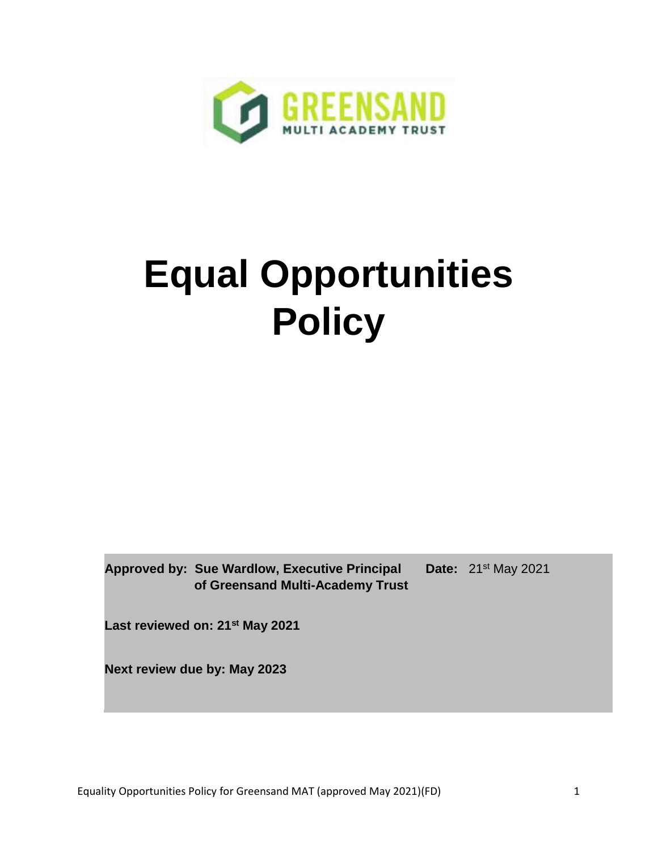

# **Equal Opportunities Policy**

**Approved by: Sue Wardlow, Executive Principal of Greensand Multi-Academy Trust**

**Date:** 21st May 2021

**Last reviewed on: 21st May 2021**

**Next review due by: May 2023**

Equality Opportunities Policy for Greensand MAT (approved May 2021)(FD) 1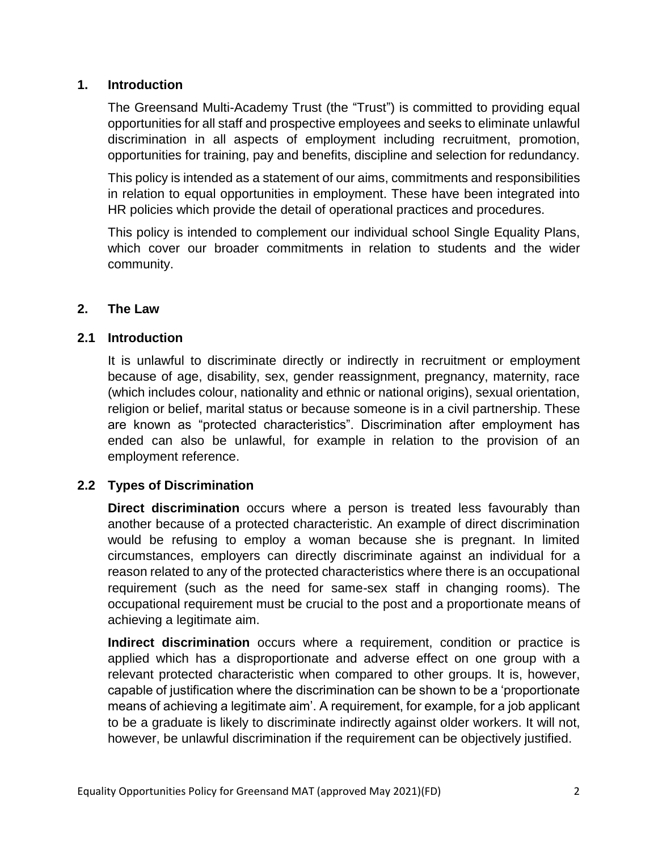## **1. Introduction**

The Greensand Multi-Academy Trust (the "Trust") is committed to providing equal opportunities for all staff and prospective employees and seeks to eliminate unlawful discrimination in all aspects of employment including recruitment, promotion, opportunities for training, pay and benefits, discipline and selection for redundancy.

This policy is intended as a statement of our aims, commitments and responsibilities in relation to equal opportunities in employment. These have been integrated into HR policies which provide the detail of operational practices and procedures.

This policy is intended to complement our individual school Single Equality Plans, which cover our broader commitments in relation to students and the wider community.

## **2. The Law**

## **2.1 Introduction**

It is unlawful to discriminate directly or indirectly in recruitment or employment because of age, disability, sex, gender reassignment, pregnancy, maternity, race (which includes colour, nationality and ethnic or national origins), sexual orientation, religion or belief, marital status or because someone is in a civil partnership. These are known as "protected characteristics". Discrimination after employment has ended can also be unlawful, for example in relation to the provision of an employment reference.

# **2.2 Types of Discrimination**

**Direct discrimination** occurs where a person is treated less favourably than another because of a protected characteristic. An example of direct discrimination would be refusing to employ a woman because she is pregnant. In limited circumstances, employers can directly discriminate against an individual for a reason related to any of the protected characteristics where there is an occupational requirement (such as the need for same-sex staff in changing rooms). The occupational requirement must be crucial to the post and a proportionate means of achieving a legitimate aim.

**Indirect discrimination** occurs where a requirement, condition or practice is applied which has a disproportionate and adverse effect on one group with a relevant protected characteristic when compared to other groups. It is, however, capable of justification where the discrimination can be shown to be a 'proportionate means of achieving a legitimate aim'. A requirement, for example, for a job applicant to be a graduate is likely to discriminate indirectly against older workers. It will not, however, be unlawful discrimination if the requirement can be objectively justified.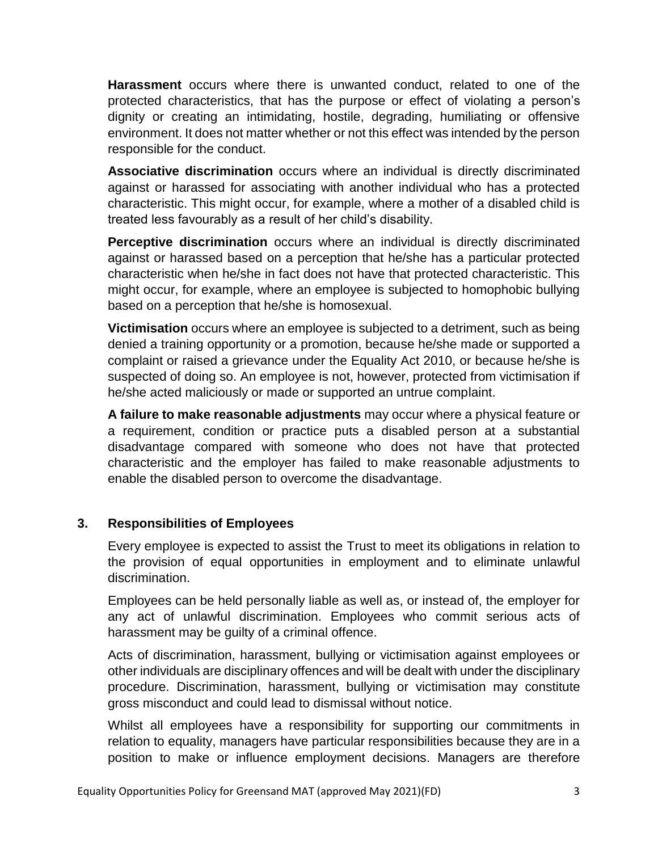**Harassment** occurs where there is unwanted conduct, related to one of the protected characteristics, that has the purpose or effect of violating a person's dignity or creating an intimidating, hostile, degrading, humiliating or offensive environment. It does not matter whether or not this effect was intended by the person responsible for the conduct.

**Associative discrimination** occurs where an individual is directly discriminated against or harassed for associating with another individual who has a protected characteristic. This might occur, for example, where a mother of a disabled child is treated less favourably as a result of her child's disability.

**Perceptive discrimination** occurs where an individual is directly discriminated against or harassed based on a perception that he/she has a particular protected characteristic when he/she in fact does not have that protected characteristic. This might occur, for example, where an employee is subjected to homophobic bullying based on a perception that he/she is homosexual.

**Victimisation** occurs where an employee is subjected to a detriment, such as being denied a training opportunity or a promotion, because he/she made or supported a complaint or raised a grievance under the Equality Act 2010, or because he/she is suspected of doing so. An employee is not, however, protected from victimisation if he/she acted maliciously or made or supported an untrue complaint.

**A failure to make reasonable adjustments** may occur where a physical feature or a requirement, condition or practice puts a disabled person at a substantial disadvantage compared with someone who does not have that protected characteristic and the employer has failed to make reasonable adjustments to enable the disabled person to overcome the disadvantage.

#### **3. Responsibilities of Employees**

Every employee is expected to assist the Trust to meet its obligations in relation to the provision of equal opportunities in employment and to eliminate unlawful discrimination.

Employees can be held personally liable as well as, or instead of, the employer for any act of unlawful discrimination. Employees who commit serious acts of harassment may be guilty of a criminal offence.

Acts of discrimination, harassment, bullying or victimisation against employees or other individuals are disciplinary offences and will be dealt with under the disciplinary procedure. Discrimination, harassment, bullying or victimisation may constitute gross misconduct and could lead to dismissal without notice.

Whilst all employees have a responsibility for supporting our commitments in relation to equality, managers have particular responsibilities because they are in a position to make or influence employment decisions. Managers are therefore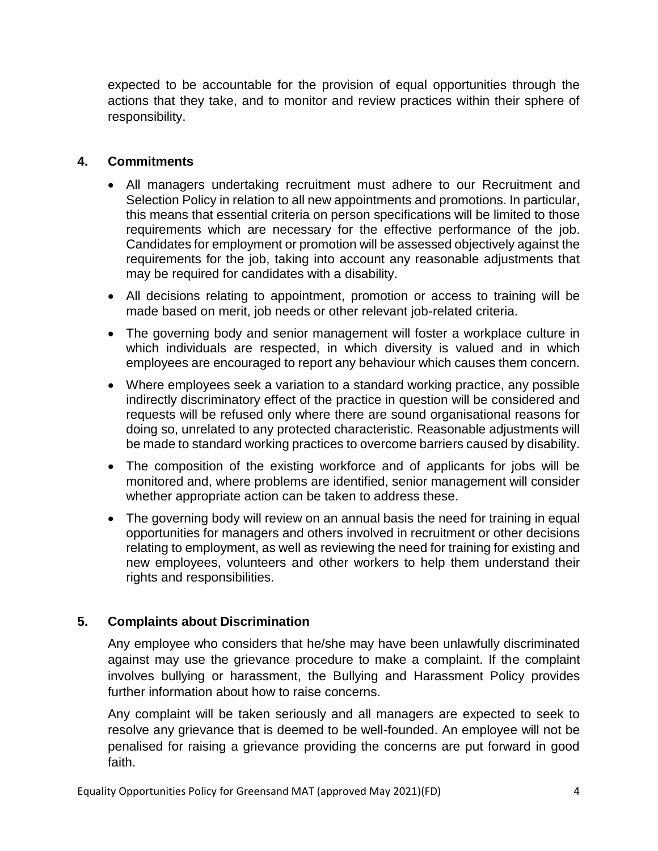expected to be accountable for the provision of equal opportunities through the actions that they take, and to monitor and review practices within their sphere of responsibility.

## **4. Commitments**

- All managers undertaking recruitment must adhere to our Recruitment and Selection Policy in relation to all new appointments and promotions. In particular, this means that essential criteria on person specifications will be limited to those requirements which are necessary for the effective performance of the job. Candidates for employment or promotion will be assessed objectively against the requirements for the job, taking into account any reasonable adjustments that may be required for candidates with a disability.
- All decisions relating to appointment, promotion or access to training will be made based on merit, job needs or other relevant job-related criteria.
- The governing body and senior management will foster a workplace culture in which individuals are respected, in which diversity is valued and in which employees are encouraged to report any behaviour which causes them concern.
- Where employees seek a variation to a standard working practice, any possible indirectly discriminatory effect of the practice in question will be considered and requests will be refused only where there are sound organisational reasons for doing so, unrelated to any protected characteristic. Reasonable adjustments will be made to standard working practices to overcome barriers caused by disability.
- The composition of the existing workforce and of applicants for jobs will be monitored and, where problems are identified, senior management will consider whether appropriate action can be taken to address these.
- The governing body will review on an annual basis the need for training in equal opportunities for managers and others involved in recruitment or other decisions relating to employment, as well as reviewing the need for training for existing and new employees, volunteers and other workers to help them understand their rights and responsibilities.

# **5. Complaints about Discrimination**

Any employee who considers that he/she may have been unlawfully discriminated against may use the grievance procedure to make a complaint. If the complaint involves bullying or harassment, the Bullying and Harassment Policy provides further information about how to raise concerns.

Any complaint will be taken seriously and all managers are expected to seek to resolve any grievance that is deemed to be well-founded. An employee will not be penalised for raising a grievance providing the concerns are put forward in good faith.